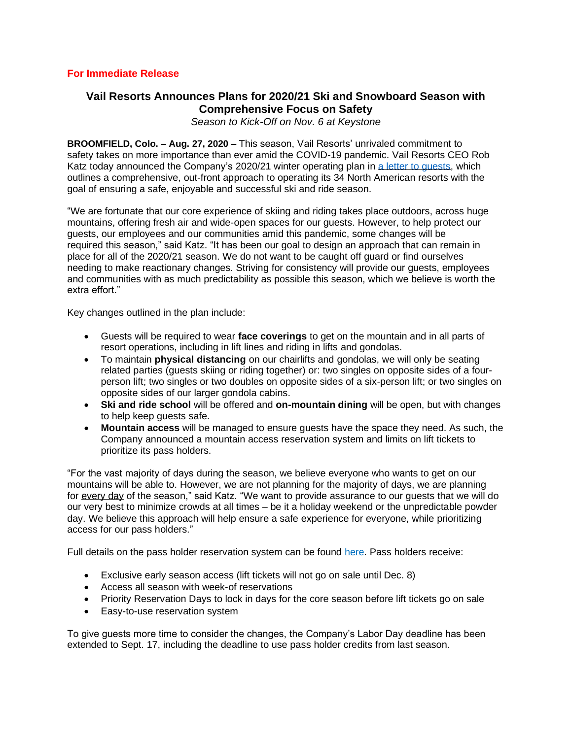## **For Immediate Release**

## **Vail Resorts Announces Plans for 2020/21 Ski and Snowboard Season with Comprehensive Focus on Safety**

*Season to Kick-Off on Nov. 6 at Keystone*

**BROOMFIELD, Colo. – Aug. 27, 2020 –** This season, Vail Resorts' unrivaled commitment to safety takes on more importance than ever amid the COVID-19 pandemic. Vail Resorts CEO Rob Katz today announced the Company's 2020/21 winter operating plan in [a letter to guests,](http://news.vailresorts.com/corporate/vailresorts/winter-operating-plan-2020-letter.htm) which outlines a comprehensive, out-front approach to operating its 34 North American resorts with the goal of ensuring a safe, enjoyable and successful ski and ride season.

"We are fortunate that our core experience of skiing and riding takes place outdoors, across huge mountains, offering fresh air and wide-open spaces for our guests. However, to help protect our guests, our employees and our communities amid this pandemic, some changes will be required this season," said Katz. "It has been our goal to design an approach that can remain in place for all of the 2020/21 season. We do not want to be caught off guard or find ourselves needing to make reactionary changes. Striving for consistency will provide our guests, employees and communities with as much predictability as possible this season, which we believe is worth the extra effort."

Key changes outlined in the plan include:

- Guests will be required to wear **face coverings** to get on the mountain and in all parts of resort operations, including in lift lines and riding in lifts and gondolas.
- To maintain **physical distancing** on our chairlifts and gondolas, we will only be seating related parties (guests skiing or riding together) or: two singles on opposite sides of a fourperson lift; two singles or two doubles on opposite sides of a six-person lift; or two singles on opposite sides of our larger gondola cabins.
- **Ski and ride school** will be offered and **on-mountain dining** will be open, but with changes to help keep guests safe.
- **Mountain access** will be managed to ensure guests have the space they need. As such, the Company announced a mountain access reservation system and limits on lift tickets to prioritize its pass holders.

"For the vast majority of days during the season, we believe everyone who wants to get on our mountains will be able to. However, we are not planning for the majority of days, we are planning for every day of the season," said Katz. "We want to provide assurance to our guests that we will do our very best to minimize crowds at all times – be it a holiday weekend or the unpredictable powder day. We believe this approach will help ensure a safe experience for everyone, while prioritizing access for our pass holders."

Full details on the pass holder reservation system can be found [here.](https://www.epicpass.com/info/reservation-details) Pass holders receive:

- Exclusive early season access (lift tickets will not go on sale until Dec. 8)
- Access all season with week-of reservations
- Priority Reservation Days to lock in days for the core season before lift tickets go on sale
- Easy-to-use reservation system

To give guests more time to consider the changes, the Company's Labor Day deadline has been extended to Sept. 17, including the deadline to use pass holder credits from last season.